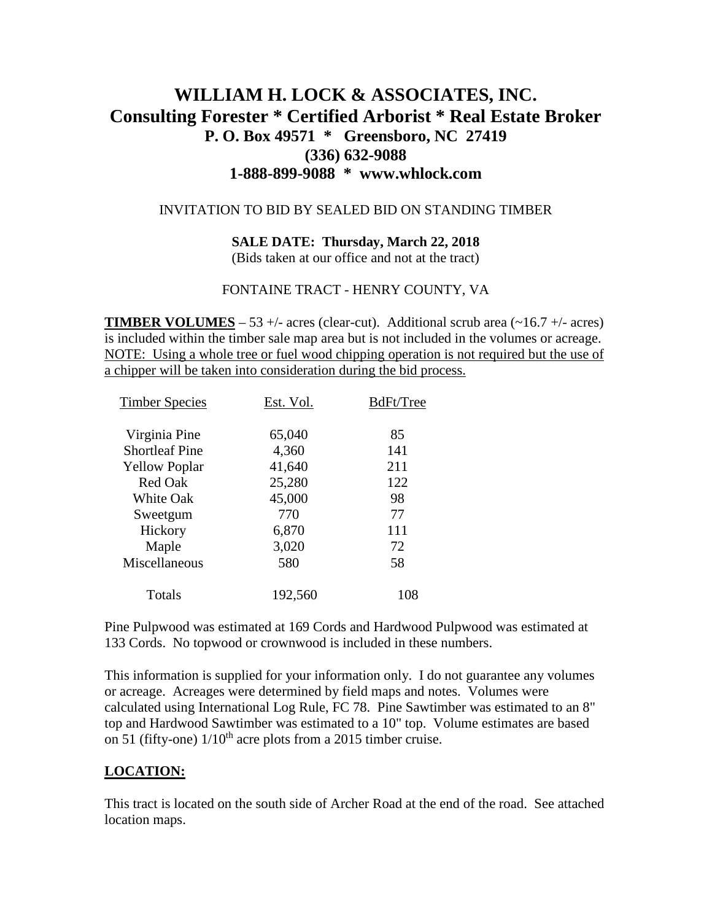# **WILLIAM H. LOCK & ASSOCIATES, INC. Consulting Forester \* Certified Arborist \* Real Estate Broker P. O. Box 49571 \* Greensboro, NC 27419 (336) 632-9088 1-888-899-9088 \* www.whlock.com**

### INVITATION TO BID BY SEALED BID ON STANDING TIMBER

### **SALE DATE: Thursday, March 22, 2018**

(Bids taken at our office and not at the tract)

### FONTAINE TRACT - HENRY COUNTY, VA

**TIMBER VOLUMES** – 53 +/- acres (clear-cut). Additional scrub area ( $\sim$ 16.7 +/- acres) is included within the timber sale map area but is not included in the volumes or acreage. NOTE: Using a whole tree or fuel wood chipping operation is not required but the use of a chipper will be taken into consideration during the bid process.

| <b>Timber Species</b> | Est. Vol. | BdFt/Tree |
|-----------------------|-----------|-----------|
| Virginia Pine         | 65,040    | 85        |
| <b>Shortleaf Pine</b> | 4,360     | 141       |
| <b>Yellow Poplar</b>  | 41,640    | 211       |
| <b>Red Oak</b>        | 25,280    | 122       |
| <b>White Oak</b>      | 45,000    | 98        |
| Sweetgum              | 770       | 77        |
| Hickory               | 6,870     | 111       |
| Maple                 | 3,020     | 72        |
| Miscellaneous         | 580       | 58        |
| Totals                | 192,560   | 108       |

Pine Pulpwood was estimated at 169 Cords and Hardwood Pulpwood was estimated at 133 Cords. No topwood or crownwood is included in these numbers.

This information is supplied for your information only. I do not guarantee any volumes or acreage. Acreages were determined by field maps and notes. Volumes were calculated using International Log Rule, FC 78. Pine Sawtimber was estimated to an 8" top and Hardwood Sawtimber was estimated to a 10" top. Volume estimates are based on 51 (fifty-one)  $1/10^{th}$  acre plots from a 2015 timber cruise.

### **LOCATION:**

This tract is located on the south side of Archer Road at the end of the road. See attached location maps.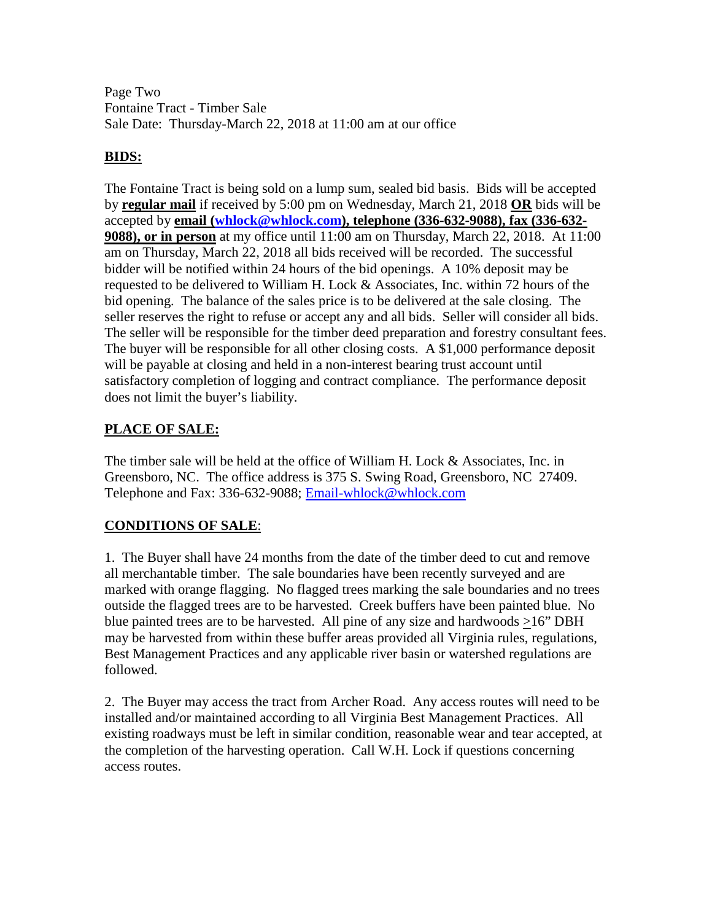Page Two Fontaine Tract - Timber Sale Sale Date: Thursday-March 22, 2018 at 11:00 am at our office

## **BIDS:**

The Fontaine Tract is being sold on a lump sum, sealed bid basis. Bids will be accepted by **regular mail** if received by 5:00 pm on Wednesday, March 21, 2018 **OR** bids will be accepted by **email [\(whlock@whlock.com\)](mailto:whlock@whlock.com), telephone (336-632-9088), fax (336-632- 9088), or in person** at my office until 11:00 am on Thursday, March 22, 2018. At 11:00 am on Thursday, March 22, 2018 all bids received will be recorded. The successful bidder will be notified within 24 hours of the bid openings. A 10% deposit may be requested to be delivered to William H. Lock  $\&$  Associates, Inc. within 72 hours of the bid opening. The balance of the sales price is to be delivered at the sale closing. The seller reserves the right to refuse or accept any and all bids. Seller will consider all bids. The seller will be responsible for the timber deed preparation and forestry consultant fees. The buyer will be responsible for all other closing costs. A \$1,000 performance deposit will be payable at closing and held in a non-interest bearing trust account until satisfactory completion of logging and contract compliance. The performance deposit does not limit the buyer's liability.

# **PLACE OF SALE:**

The timber sale will be held at the office of William H. Lock & Associates, Inc. in Greensboro, NC. The office address is 375 S. Swing Road, Greensboro, NC 27409. Telephone and Fax: 336-632-9088; [Email-whlock@whlock.com](mailto:Email-whlock@whlock.com)

# **CONDITIONS OF SALE**:

1. The Buyer shall have 24 months from the date of the timber deed to cut and remove all merchantable timber. The sale boundaries have been recently surveyed and are marked with orange flagging. No flagged trees marking the sale boundaries and no trees outside the flagged trees are to be harvested. Creek buffers have been painted blue. No blue painted trees are to be harvested. All pine of any size and hardwoods >16" DBH may be harvested from within these buffer areas provided all Virginia rules, regulations, Best Management Practices and any applicable river basin or watershed regulations are followed.

2. The Buyer may access the tract from Archer Road. Any access routes will need to be installed and/or maintained according to all Virginia Best Management Practices. All existing roadways must be left in similar condition, reasonable wear and tear accepted, at the completion of the harvesting operation. Call W.H. Lock if questions concerning access routes.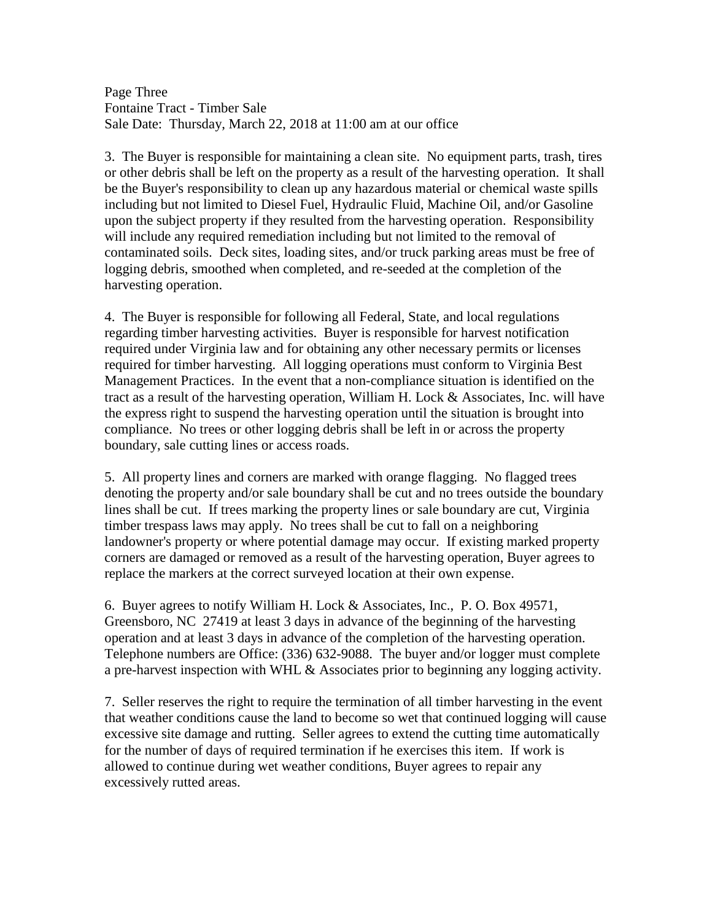Page Three Fontaine Tract - Timber Sale Sale Date: Thursday, March 22, 2018 at 11:00 am at our office

3. The Buyer is responsible for maintaining a clean site. No equipment parts, trash, tires or other debris shall be left on the property as a result of the harvesting operation. It shall be the Buyer's responsibility to clean up any hazardous material or chemical waste spills including but not limited to Diesel Fuel, Hydraulic Fluid, Machine Oil, and/or Gasoline upon the subject property if they resulted from the harvesting operation. Responsibility will include any required remediation including but not limited to the removal of contaminated soils. Deck sites, loading sites, and/or truck parking areas must be free of logging debris, smoothed when completed, and re-seeded at the completion of the harvesting operation.

4. The Buyer is responsible for following all Federal, State, and local regulations regarding timber harvesting activities. Buyer is responsible for harvest notification required under Virginia law and for obtaining any other necessary permits or licenses required for timber harvesting. All logging operations must conform to Virginia Best Management Practices. In the event that a non-compliance situation is identified on the tract as a result of the harvesting operation, William H. Lock & Associates, Inc. will have the express right to suspend the harvesting operation until the situation is brought into compliance. No trees or other logging debris shall be left in or across the property boundary, sale cutting lines or access roads.

5. All property lines and corners are marked with orange flagging. No flagged trees denoting the property and/or sale boundary shall be cut and no trees outside the boundary lines shall be cut. If trees marking the property lines or sale boundary are cut, Virginia timber trespass laws may apply. No trees shall be cut to fall on a neighboring landowner's property or where potential damage may occur. If existing marked property corners are damaged or removed as a result of the harvesting operation, Buyer agrees to replace the markers at the correct surveyed location at their own expense.

6. Buyer agrees to notify William H. Lock & Associates, Inc., P. O. Box 49571, Greensboro, NC 27419 at least 3 days in advance of the beginning of the harvesting operation and at least 3 days in advance of the completion of the harvesting operation. Telephone numbers are Office: (336) 632-9088. The buyer and/or logger must complete a pre-harvest inspection with WHL & Associates prior to beginning any logging activity.

7. Seller reserves the right to require the termination of all timber harvesting in the event that weather conditions cause the land to become so wet that continued logging will cause excessive site damage and rutting. Seller agrees to extend the cutting time automatically for the number of days of required termination if he exercises this item. If work is allowed to continue during wet weather conditions, Buyer agrees to repair any excessively rutted areas.